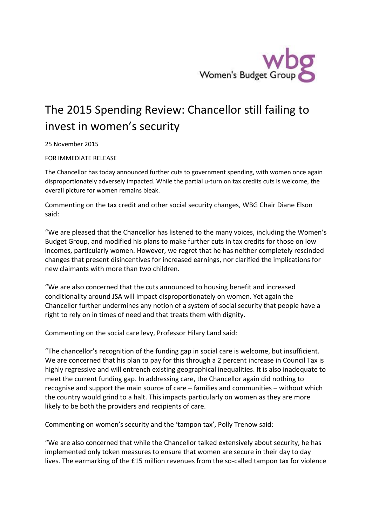

## The 2015 Spending Review: Chancellor still failing to invest in women's security

25 November 2015

FOR IMMEDIATE RELEASE

The Chancellor has today announced further cuts to government spending, with women once again disproportionately adversely impacted. While the partial u-turn on tax credits cuts is welcome, the overall picture for women remains bleak.

Commenting on the tax credit and other social security changes, WBG Chair Diane Elson said:

"We are pleased that the Chancellor has listened to the many voices, including the Women's Budget Group, and modified his plans to make further cuts in tax credits for those on low incomes, particularly women. However, we regret that he has neither completely rescinded changes that present disincentives for increased earnings, nor clarified the implications for new claimants with more than two children.

"We are also concerned that the cuts announced to housing benefit and increased conditionality around JSA will impact disproportionately on women. Yet again the Chancellor further undermines any notion of a system of social security that people have a right to rely on in times of need and that treats them with dignity.

Commenting on the social care levy, Professor Hilary Land said:

"The chancellor's recognition of the funding gap in social care is welcome, but insufficient. We are concerned that his plan to pay for this through a 2 percent increase in Council Tax is highly regressive and will entrench existing geographical inequalities. It is also inadequate to meet the current funding gap. In addressing care, the Chancellor again did nothing to recognise and support the main source of care – families and communities – without which the country would grind to a halt. This impacts particularly on women as they are more likely to be both the providers and recipients of care.

Commenting on women's security and the 'tampon tax', Polly Trenow said:

"We are also concerned that while the Chancellor talked extensively about security, he has implemented only token measures to ensure that women are secure in their day to day lives. The earmarking of the £15 million revenues from the so-called tampon tax for violence